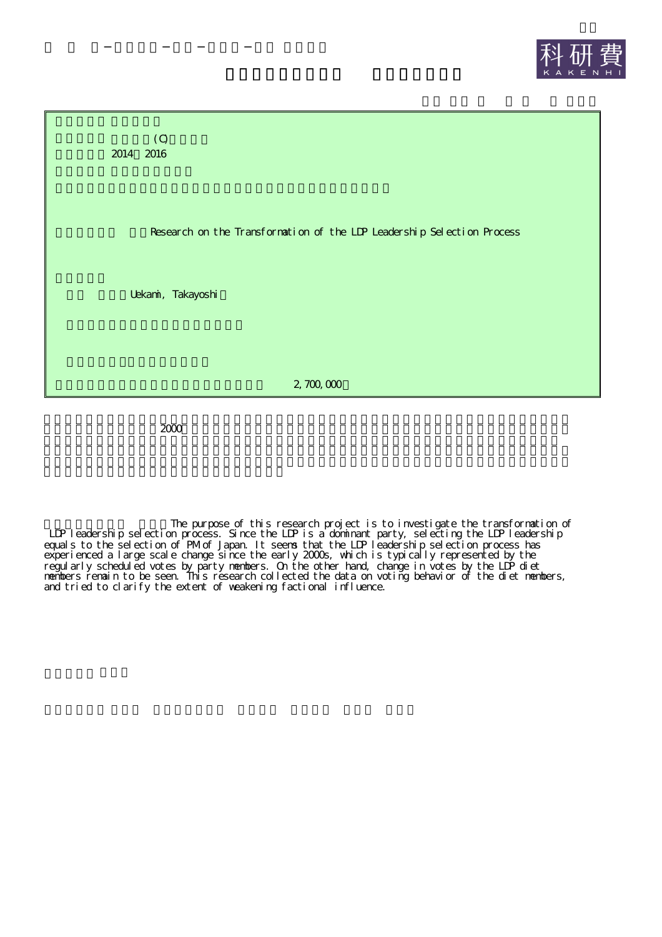



2000

The purpose of this research project is to investigate the transformation of LDP leadership selection process. Since the LDP is a dominant party, selecting the LDP leadership equals to the selection of PM of Japan. It seems that the LIP leadership selection process has experienced a large scale change since the early 2000s, which is typically represented by the regularly scheduled votes by party members. On the other hand, change in votes by the LDP diet members remain to be seen. This research collected the data on voting behavior of the diet members, and tried to clarify the extent of weakening factional influence.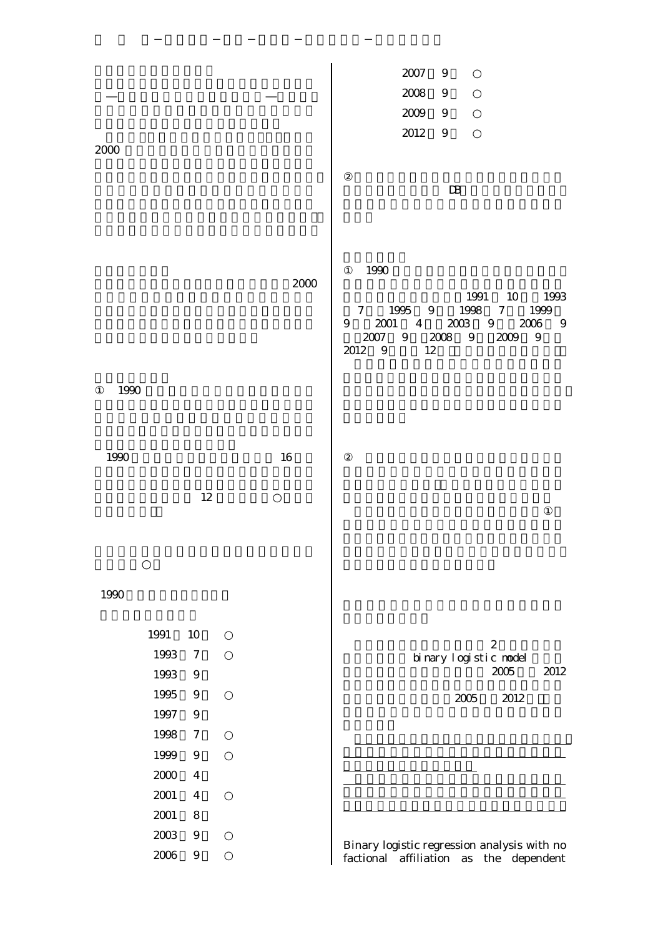|      |                  |      | 2007<br>$\overline{9}$                                                                             |
|------|------------------|------|----------------------------------------------------------------------------------------------------|
|      |                  |      | 2008<br>$\boldsymbol{9}$                                                                           |
|      |                  |      | 2009<br>- 9                                                                                        |
|      |                  |      | 2012<br>9                                                                                          |
| 2000 |                  |      |                                                                                                    |
|      |                  |      | $\mathbf{D}$                                                                                       |
|      |                  |      |                                                                                                    |
|      |                  |      |                                                                                                    |
|      |                  |      |                                                                                                    |
|      |                  | 2000 | 1990                                                                                               |
|      |                  |      | 1991 10 1993                                                                                       |
|      |                  |      | 1995 9<br>7 1999<br>$7\degree$<br>1998<br>2001<br>$4\overline{ }$<br>2003<br>9<br>2006<br>9<br>- 9 |
|      |                  |      | 2007<br>$9\phantom{.0}$<br>2008<br>$\boldsymbol{9}$<br>2009<br>$\boldsymbol{9}$<br>2012 9<br>12    |
|      |                  |      |                                                                                                    |
| 1990 |                  |      |                                                                                                    |
|      |                  |      |                                                                                                    |
|      |                  |      |                                                                                                    |
| 1990 |                  | 16   |                                                                                                    |
|      |                  |      |                                                                                                    |
|      | 12               |      |                                                                                                    |
|      |                  |      |                                                                                                    |
|      |                  |      |                                                                                                    |
|      |                  |      |                                                                                                    |
| 1990 |                  |      |                                                                                                    |
|      |                  |      |                                                                                                    |
| 1991 | 10               |      |                                                                                                    |
| 1993 | $\overline{7}$   |      | $\boldsymbol{2}$<br>binary logistic nodel                                                          |
| 1993 | $\boldsymbol{9}$ |      | 2005<br>2012                                                                                       |
| 1995 | $9$              |      | 2005<br>2012                                                                                       |
| 1997 | $\boldsymbol{9}$ |      |                                                                                                    |
| 1998 | $\tau$           |      |                                                                                                    |
| 1999 | $\boldsymbol{9}$ |      |                                                                                                    |
| 2000 | $\overline{4}$   |      |                                                                                                    |
| 2001 | $\overline{4}$   |      |                                                                                                    |
| 2001 | $8\,$            |      |                                                                                                    |
| 2003 | $\boldsymbol{9}$ |      | Binary logistic regression analysis with no                                                        |
| 2006 | $\boldsymbol{9}$ |      | factional affiliation<br>the dependent<br>as                                                       |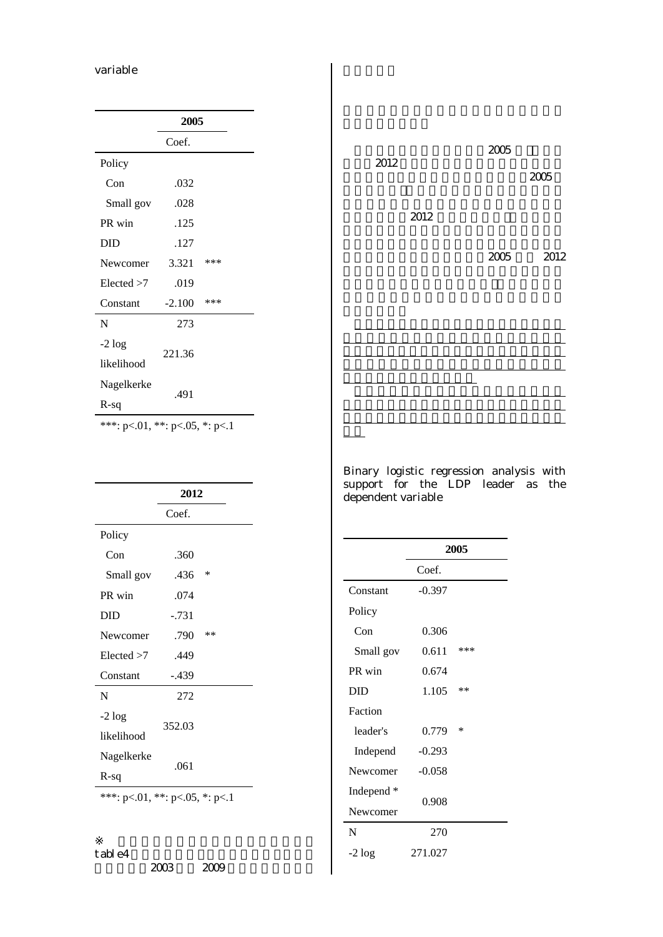## variable

| 2005     |                |
|----------|----------------|
| Coef.    |                |
|          |                |
| .032     |                |
| .028     |                |
| .125     |                |
| .127     |                |
| 3.321    | ***            |
| .019     |                |
| $-2.100$ | ***            |
| 273      |                |
|          |                |
|          |                |
|          |                |
|          |                |
|          | 221.36<br>.491 |



Binary logistic regression analysis with support for the LDP leader as the dependent variable

|                                        | Coef.   |    |
|----------------------------------------|---------|----|
| Policy                                 |         |    |
| Con                                    | .360    |    |
| Small gov                              | .436    | ∗  |
| PR win                                 | .074    |    |
| <b>DID</b>                             | $-.731$ |    |
| Newcomer                               | .790    | ** |
| Elected > 7                            | .449    |    |
| Constant                               | $-.439$ |    |
| N                                      | 272     |    |
| $-2 log$<br>likelihood                 | 352.03  |    |
| Nagelkerke<br>$R-sq$                   | .061    |    |
| ***: $p<.01$ , **: $p<.05$ , *: $p<.1$ |         |    |

**2012**

|            | 2005     |     |
|------------|----------|-----|
|            | Coef.    |     |
| Constant   | $-0.397$ |     |
| Policy     |          |     |
| Con        | 0.306    |     |
| Small gov  | 0.611    | *** |
| PR win     | 0.674    |     |
| DID        | 1.105    | **  |
| Faction    |          |     |
| leader's   | 0.779    | ∗   |
| Independ   | $-0.293$ |     |
| Newcomer   | $-0.058$ |     |
| Independ * | 0.908    |     |
| Newcomer   |          |     |
| N          | 270      |     |
| $-2 log$   | 271.027  |     |
|            |          |     |

table4

2003 2009